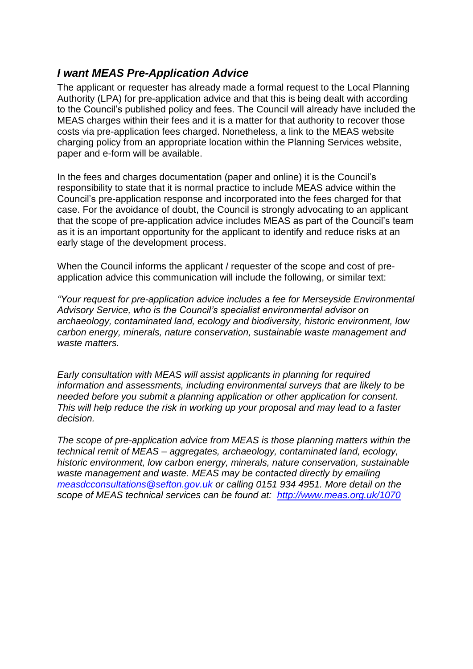## *I want MEAS Pre-Application Advice*

The applicant or requester has already made a formal request to the Local Planning Authority (LPA) for pre-application advice and that this is being dealt with according to the Council's published policy and fees. The Council will already have included the MEAS charges within their fees and it is a matter for that authority to recover those costs via pre-application fees charged. Nonetheless, a link to the MEAS website charging policy from an appropriate location within the Planning Services website, paper and e-form will be available.

In the fees and charges documentation (paper and online) it is the Council's responsibility to state that it is normal practice to include MEAS advice within the Council's pre-application response and incorporated into the fees charged for that case. For the avoidance of doubt, the Council is strongly advocating to an applicant that the scope of pre-application advice includes MEAS as part of the Council's team as it is an important opportunity for the applicant to identify and reduce risks at an early stage of the development process.

When the Council informs the applicant / requester of the scope and cost of preapplication advice this communication will include the following, or similar text:

*"Your request for pre-application advice includes a fee for Merseyside Environmental Advisory Service, who is the Council's specialist environmental advisor on archaeology, contaminated land, ecology and biodiversity, historic environment, low carbon energy, minerals, nature conservation, sustainable waste management and waste matters.* 

*Early consultation with MEAS will assist applicants in planning for required information and assessments, including environmental surveys that are likely to be needed before you submit a planning application or other application for consent. This will help reduce the risk in working up your proposal and may lead to a faster decision.*

*The scope of pre-application advice from MEAS is those planning matters within the technical remit of MEAS – aggregates, archaeology, contaminated land, ecology, historic environment, low carbon energy, minerals, nature conservation, sustainable waste management and waste. MEAS may be contacted directly by emailing [measdcconsultations@sefton.gov.uk](mailto:measdcconsultations@sefton.gov.uk) or calling 0151 934 4951. More detail on the scope of MEAS technical services can be found at: <http://www.meas.org.uk/1070>*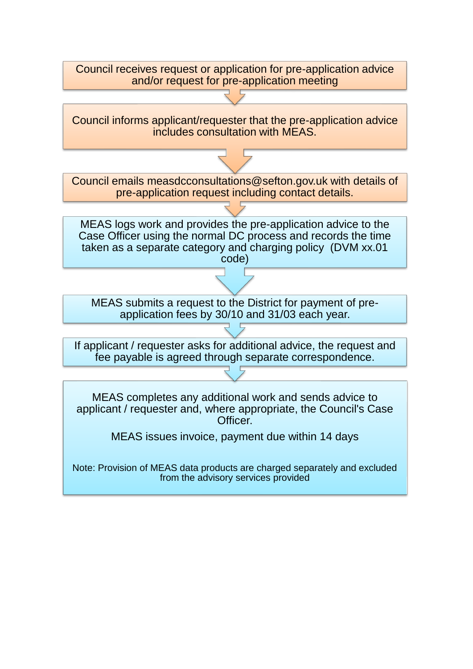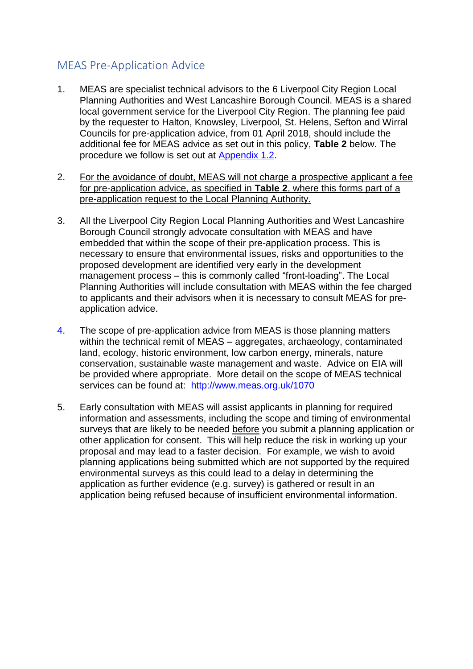## MEAS Pre-Application Advice

- 1. MEAS are specialist technical advisors to the 6 Liverpool City Region Local Planning Authorities and West Lancashire Borough Council. MEAS is a shared local government service for the Liverpool City Region. The planning fee paid by the requester to Halton, Knowsley, Liverpool, St. Helens, Sefton and Wirral Councils for pre-application advice, from 01 April 2018, should include the additional fee for MEAS advice as set out in this policy, **Table 2** below. The procedure we follow is set out at Appendix 1.2.
- 2. For the avoidance of doubt, MEAS will not charge a prospective applicant a fee for pre-application advice, as specified in **Table 2**, where this forms part of a pre-application request to the Local Planning Authority.
- 3. All the Liverpool City Region Local Planning Authorities and West Lancashire Borough Council strongly advocate consultation with MEAS and have embedded that within the scope of their pre-application process. This is necessary to ensure that environmental issues, risks and opportunities to the proposed development are identified very early in the development management process – this is commonly called "front-loading". The Local Planning Authorities will include consultation with MEAS within the fee charged to applicants and their advisors when it is necessary to consult MEAS for preapplication advice.
- 4. The scope of pre-application advice from MEAS is those planning matters within the technical remit of MEAS – aggregates, archaeology, contaminated land, ecology, historic environment, low carbon energy, minerals, nature conservation, sustainable waste management and waste. Advice on EIA will be provided where appropriate. More detail on the scope of MEAS technical services can be found at: <http://www.meas.org.uk/1070>
- 5. Early consultation with MEAS will assist applicants in planning for required information and assessments, including the scope and timing of environmental surveys that are likely to be needed before you submit a planning application or other application for consent. This will help reduce the risk in working up your proposal and may lead to a faster decision. For example, we wish to avoid planning applications being submitted which are not supported by the required environmental surveys as this could lead to a delay in determining the application as further evidence (e.g. survey) is gathered or result in an application being refused because of insufficient environmental information.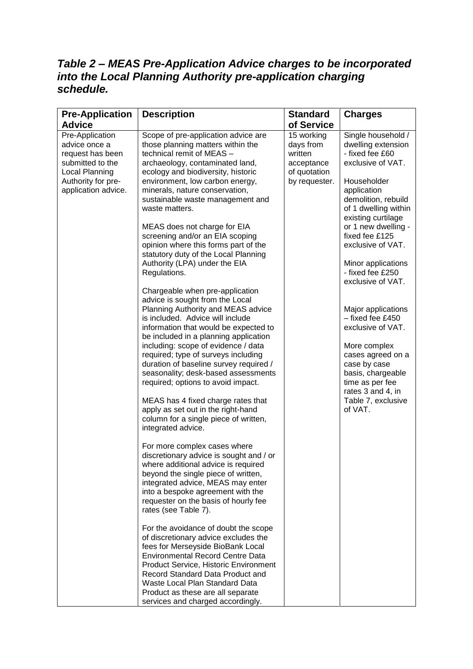## *Table 2 – MEAS Pre-Application Advice charges to be incorporated into the Local Planning Authority pre-application charging schedule.*

| <b>Pre-Application</b>                                                                                                                  | <b>Description</b>                                                                                                                                                                                                                                                                                                                                                                                                                                                                                                                                                                                                                                                                                                                                                                                                                                                                                                                                                                                                                                                                                                                                                                                                                         | <b>Standard</b>                                                                   | <b>Charges</b>                                                                                                                                                                                                                      |
|-----------------------------------------------------------------------------------------------------------------------------------------|--------------------------------------------------------------------------------------------------------------------------------------------------------------------------------------------------------------------------------------------------------------------------------------------------------------------------------------------------------------------------------------------------------------------------------------------------------------------------------------------------------------------------------------------------------------------------------------------------------------------------------------------------------------------------------------------------------------------------------------------------------------------------------------------------------------------------------------------------------------------------------------------------------------------------------------------------------------------------------------------------------------------------------------------------------------------------------------------------------------------------------------------------------------------------------------------------------------------------------------------|-----------------------------------------------------------------------------------|-------------------------------------------------------------------------------------------------------------------------------------------------------------------------------------------------------------------------------------|
| <b>Advice</b>                                                                                                                           |                                                                                                                                                                                                                                                                                                                                                                                                                                                                                                                                                                                                                                                                                                                                                                                                                                                                                                                                                                                                                                                                                                                                                                                                                                            | of Service                                                                        |                                                                                                                                                                                                                                     |
| Pre-Application<br>advice once a<br>request has been<br>submitted to the<br>Local Planning<br>Authority for pre-<br>application advice. | Scope of pre-application advice are<br>those planning matters within the<br>technical remit of MEAS -<br>archaeology, contaminated land,<br>ecology and biodiversity, historic<br>environment, low carbon energy,<br>minerals, nature conservation,<br>sustainable waste management and<br>waste matters.                                                                                                                                                                                                                                                                                                                                                                                                                                                                                                                                                                                                                                                                                                                                                                                                                                                                                                                                  | 15 working<br>days from<br>written<br>acceptance<br>of quotation<br>by requester. | Single household /<br>dwelling extension<br>- fixed fee £60<br>exclusive of VAT.<br>Householder<br>application<br>demolition, rebuild<br>of 1 dwelling within<br>existing curtilage                                                 |
|                                                                                                                                         | MEAS does not charge for EIA<br>screening and/or an EIA scoping<br>opinion where this forms part of the<br>statutory duty of the Local Planning<br>Authority (LPA) under the EIA<br>Regulations.                                                                                                                                                                                                                                                                                                                                                                                                                                                                                                                                                                                                                                                                                                                                                                                                                                                                                                                                                                                                                                           |                                                                                   | or 1 new dwelling -<br>fixed fee £125<br>exclusive of VAT.<br>Minor applications<br>- fixed fee £250                                                                                                                                |
|                                                                                                                                         | Chargeable when pre-application<br>advice is sought from the Local<br>Planning Authority and MEAS advice<br>is included. Advice will include<br>information that would be expected to<br>be included in a planning application<br>including: scope of evidence / data<br>required; type of surveys including<br>duration of baseline survey required /<br>seasonality; desk-based assessments<br>required; options to avoid impact.<br>MEAS has 4 fixed charge rates that<br>apply as set out in the right-hand<br>column for a single piece of written,<br>integrated advice.<br>For more complex cases where<br>discretionary advice is sought and / or<br>where additional advice is required<br>beyond the single piece of written,<br>integrated advice, MEAS may enter<br>into a bespoke agreement with the<br>requester on the basis of hourly fee<br>rates (see Table 7).<br>For the avoidance of doubt the scope<br>of discretionary advice excludes the<br>fees for Merseyside BioBank Local<br><b>Environmental Record Centre Data</b><br>Product Service, Historic Environment<br>Record Standard Data Product and<br>Waste Local Plan Standard Data<br>Product as these are all separate<br>services and charged accordingly. |                                                                                   | exclusive of VAT.<br>Major applications<br>- fixed fee £450<br>exclusive of VAT.<br>More complex<br>cases agreed on a<br>case by case<br>basis, chargeable<br>time as per fee<br>rates 3 and 4, in<br>Table 7, exclusive<br>of VAT. |